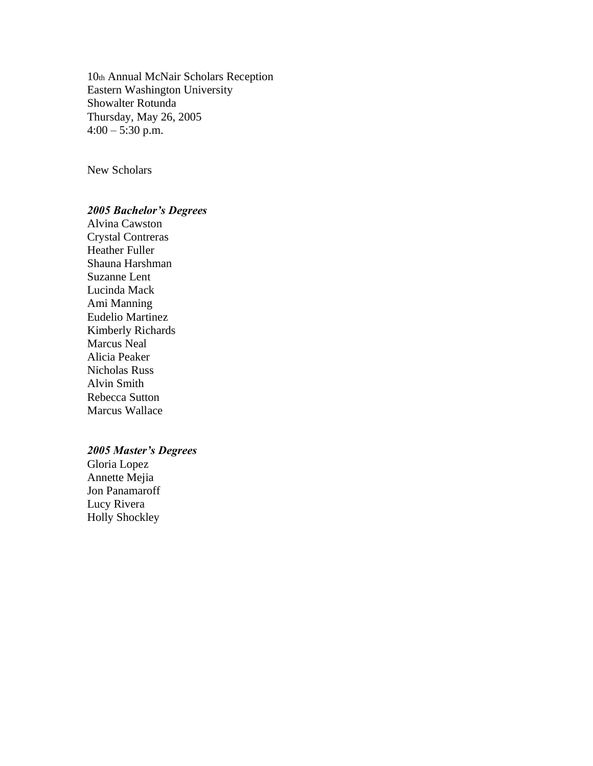10th Annual McNair Scholars Reception Eastern Washington University Showalter Rotunda Thursday, May 26, 2005  $4:00 - 5:30$  p.m.

New Scholars

#### *2005 Bachelor's Degrees*

Alvina Cawston Crystal Contreras Heather Fuller Shauna Harshman Suzanne Lent Lucinda Mack Ami Manning Eudelio Martinez Kimberly Richards Marcus Neal Alicia Peaker Nicholas Russ Alvin Smith Rebecca Sutton Marcus Wallace

#### *2005 Master's Degrees*

Gloria Lopez Annette Mejia Jon Panamaroff Lucy Rivera Holly Shockley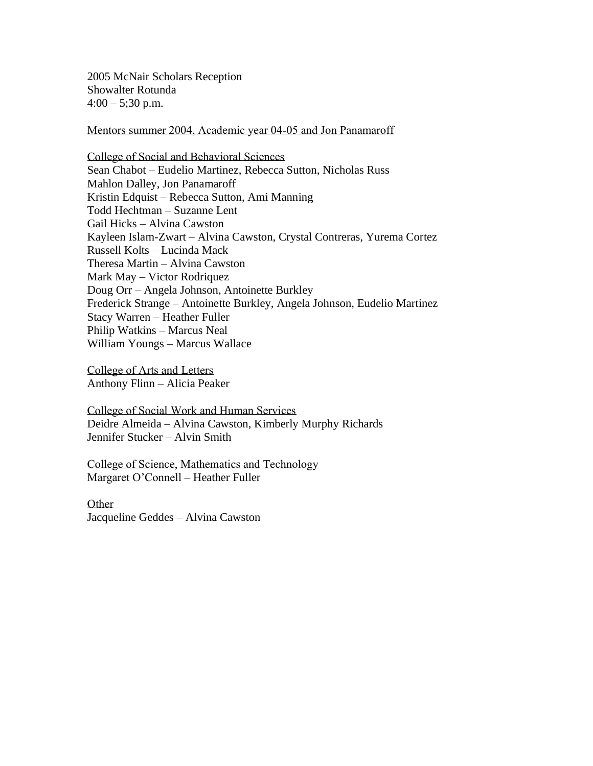2005 McNair Scholars Reception Showalter Rotunda  $4:00 - 5;30 \text{ p.m.}$ 

Mentors summer 2004, Academic year 04-05 and Jon Panamaroff

College of Social and Behavioral Sciences Sean Chabot – Eudelio Martinez, Rebecca Sutton, Nicholas Russ Mahlon Dalley, Jon Panamaroff Kristin Edquist – Rebecca Sutton, Ami Manning Todd Hechtman – Suzanne Lent Gail Hicks – Alvina Cawston Kayleen Islam-Zwart – Alvina Cawston, Crystal Contreras, Yurema Cortez Russell Kolts – Lucinda Mack Theresa Martin – Alvina Cawston Mark May – Victor Rodriquez Doug Orr – Angela Johnson, Antoinette Burkley Frederick Strange – Antoinette Burkley, Angela Johnson, Eudelio Martinez Stacy Warren – Heather Fuller Philip Watkins – Marcus Neal William Youngs – Marcus Wallace

College of Arts and Letters Anthony Flinn – Alicia Peaker

College of Social Work and Human Services Deidre Almeida – Alvina Cawston, Kimberly Murphy Richards Jennifer Stucker – Alvin Smith

College of Science, Mathematics and Technology Margaret O'Connell – Heather Fuller

Other Jacqueline Geddes – Alvina Cawston